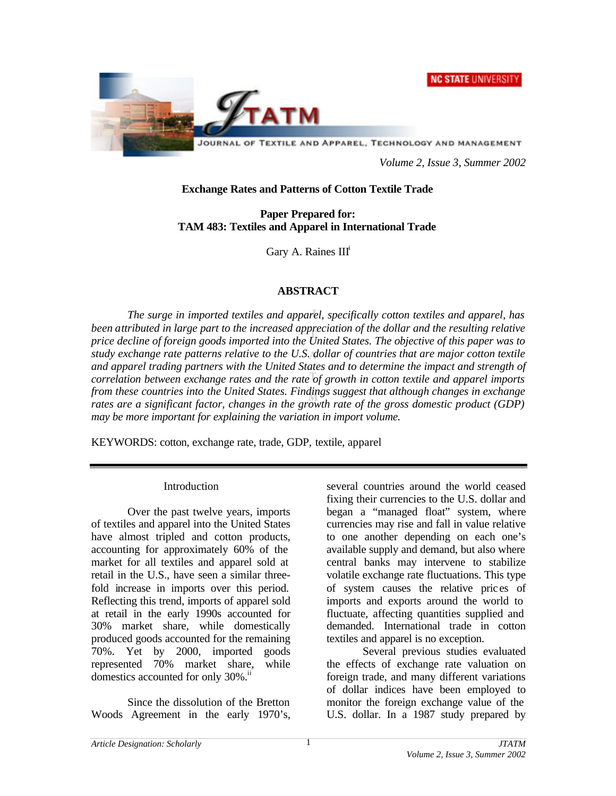#### **NC STATE UNIVERSITY**



JOURNAL OF TEXTILE AND APPAREL, TECHNOLOGY AND MANAGEMENT

*Volume 2, Issue 3, Summer 2002*

#### **Exchange Rates and Patterns of Cotton Textile Trade**

**Paper Prepared for: TAM 483: Textiles and Apparel in International Trade**

Gary A. Raines III<sup>t</sup>

# **ABSTRACT**

*The surge in imported textiles and apparel, specifically cotton textiles and apparel, has been attributed in large part to the increased appreciation of the dollar and the resulting relative price decline of foreign goods imported into the United States. The objective of this paper was to study exchange rate patterns relative to the U.S. dollar of countries that are major cotton textile and apparel trading partners with the United States and to determine the impact and strength of correlation between exchange rates and the rate of growth in cotton textile and apparel imports from these countries into the United States. Findings suggest that although changes in exchange rates are a significant factor, changes in the growth rate of the gross domestic product (GDP) may be more important for explaining the variation in import volume.*

KEYWORDS: cotton, exchange rate, trade, GDP, textile, apparel

#### Introduction

Over the past twelve years, imports of textiles and apparel into the United States have almost tripled and cotton products, accounting for approximately 60% of the market for all textiles and apparel sold at retail in the U.S., have seen a similar threefold increase in imports over this period. Reflecting this trend, imports of apparel sold at retail in the early 1990s accounted for 30% market share, while domestically produced goods accounted for the remaining 70%. Yet by 2000, imported goods represented 70% market share, while domestics accounted for only 30%.<sup>11</sup>

Since the dissolution of the Bretton Woods Agreement in the early 1970's, several countries around the world ceased fixing their currencies to the U.S. dollar and began a "managed float" system, where currencies may rise and fall in value relative to one another depending on each one's available supply and demand, but also where central banks may intervene to stabilize volatile exchange rate fluctuations. This type of system causes the relative pric es of imports and exports around the world to fluctuate, affecting quantities supplied and demanded. International trade in cotton textiles and apparel is no exception.

Several previous studies evaluated the effects of exchange rate valuation on foreign trade, and many different variations of dollar indices have been employed to monitor the foreign exchange value of the U.S. dollar. In a 1987 study prepared by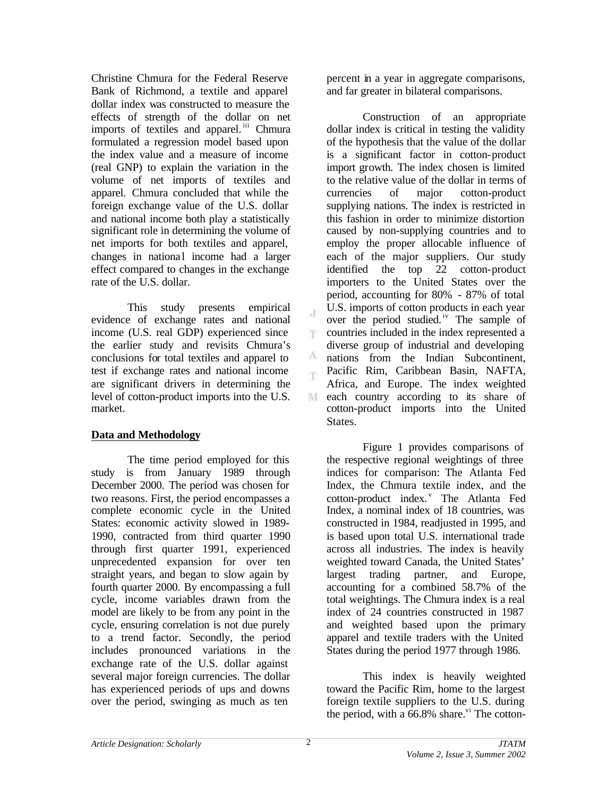Christine Chmura for the Federal Reserve Bank of Richmond, a textile and apparel dollar index was constructed to measure the effects of strength of the dollar on net imports of textiles and apparel.<sup>iii</sup> Chmura formulated a regression model based upon the index value and a measure of income (real GNP) to explain the variation in the volume of net imports of textiles and apparel. Chmura concluded that while the foreign exchange value of the U.S. dollar and national income both play a statistically significant role in determining the volume of net imports for both textiles and apparel, changes in national income had a larger effect compared to changes in the exchange rate of the U.S. dollar.

This study presents empirical evidence of exchange rates and national income (U.S. real GDP) experienced since the earlier study and revisits Chmura's conclusions for total textiles and apparel to test if exchange rates and national income are significant drivers in determining the level of cotton-product imports into the U.S. market.

# **Data and Methodology**

The time period employed for this study is from January 1989 through December 2000. The period was chosen for two reasons. First, the period encompasses a complete economic cycle in the United States: economic activity slowed in 1989- 1990, contracted from third quarter 1990 through first quarter 1991, experienced unprecedented expansion for over ten straight years, and began to slow again by fourth quarter 2000. By encompassing a full cycle, income variables drawn from the model are likely to be from any point in the cycle, ensuring correlation is not due purely to a trend factor. Secondly, the period includes pronounced variations in the exchange rate of the U.S. dollar against several major foreign currencies. The dollar has experienced periods of ups and downs over the period, swinging as much as ten

percent in a year in aggregate comparisons, and far greater in bilateral comparisons.

Construction of an appropriate dollar index is critical in testing the validity of the hypothesis that the value of the dollar is a significant factor in cotton-product import growth. The index chosen is limited to the relative value of the dollar in terms of currencies of major cotton-product supplying nations. The index is restricted in this fashion in order to minimize distortion caused by non-supplying countries and to employ the proper allocable influence of each of the major suppliers. Our study identified the top 22 cotton-product importers to the United States over the period, accounting for 80% - 87% of total U.S. imports of cotton products in each year over the period studied.<sup>iv</sup> The sample of countries included in the index represented a diverse group of industrial and developing nations from the Indian Subcontinent, Pacific Rim, Caribbean Basin, NAFTA, Africa, and Europe. The index weighted M each country according to its share of cotton-product imports into the United States.

Figure 1 provides comparisons of the respective regional weightings of three indices for comparison: The Atlanta Fed Index, the Chmura textile index, and the cotton-product index.<sup>v</sup> The Atlanta Fed Index, a nominal index of 18 countries, was constructed in 1984, readjusted in 1995, and is based upon total U.S. international trade across all industries. The index is heavily weighted toward Canada, the United States' largest trading partner, and Europe, accounting for a combined 58.7% of the total weightings. The Chmura index is a real index of 24 countries constructed in 1987 and weighted based upon the primary apparel and textile traders with the United States during the period 1977 through 1986.

This index is heavily weighted toward the Pacific Rim, home to the largest foreign textile suppliers to the U.S. during the period, with a  $66.8\%$  share.<sup>vi</sup> The cotton-

 $\mathcal{X}$ 

T.

A 窜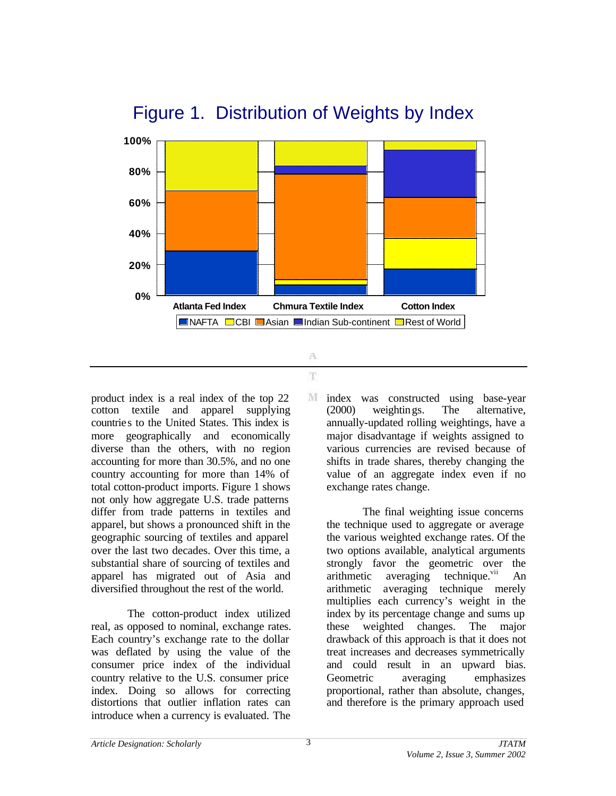

# Figure 1. Distribution of Weights by Index

product index is a real index of the top 22 cotton textile and apparel supplying countries to the United States. This index is more geographically and economically diverse than the others, with no region accounting for more than 30.5%, and no one country accounting for more than 14% of total cotton-product imports. Figure 1 shows not only how aggregate U.S. trade patterns differ from trade patterns in textiles and apparel, but shows a pronounced shift in the geographic sourcing of textiles and apparel over the last two decades. Over this time, a substantial share of sourcing of textiles and apparel has migrated out of Asia and diversified throughout the rest of the world.

The cotton-product index utilized real, as opposed to nominal, exchange rates. Each country's exchange rate to the dollar was deflated by using the value of the consumer price index of the individual country relative to the U.S. consumer price index. Doing so allows for correcting distortions that outlier inflation rates can introduce when a currency is evaluated. The

M index was constructed using base-year (2000) weightings. The alternative, annually-updated rolling weightings, have a major disadvantage if weights assigned to various currencies are revised because of shifts in trade shares, thereby changing the value of an aggregate index even if no exchange rates change.

The final weighting issue concerns the technique used to aggregate or average the various weighted exchange rates. Of the two options available, analytical arguments strongly favor the geometric over the arithmetic averaging technique.<sup>vii</sup> An arithmetic averaging technique merely multiplies each currency's weight in the index by its percentage change and sums up these weighted changes. The major drawback of this approach is that it does not treat increases and decreases symmetrically and could result in an upward bias. Geometric averaging emphasizes proportional, rather than absolute, changes, and therefore is the primary approach used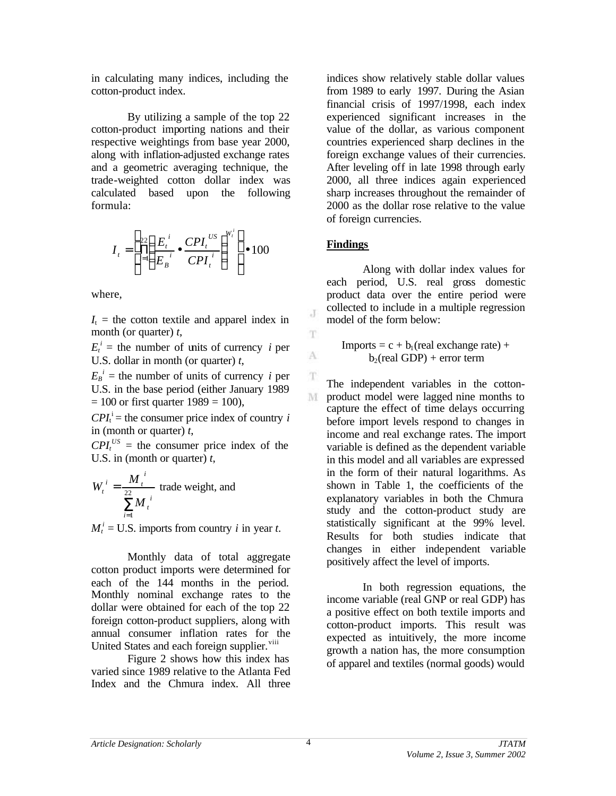in calculating many indices, including the cotton-product index.

By utilizing a sample of the top 22 cotton-product importing nations and their respective weightings from base year 2000, along with inflation-adjusted exchange rates and a geometric averaging technique, the trade-weighted cotton dollar index was calculated based upon the following formula:

$$
I_{t} = \left[\prod_{i=1}^{22} \left(\frac{E_{t}^{i}}{E_{B}^{i}} \bullet \frac{CPI_{t}^{US}}{CPI_{t}^{i}}\right)^{W_{t}^{i}}\right] \bullet 100
$$

where,

 $I_t$  = the cotton textile and apparel index in month (or quarter) *t*,

 $E_t^i$  = the number of units of currency *i* per U.S. dollar in month (or quarter) *t*,

 $E_B^i$  = the number of units of currency *i* per U.S. in the base period (either January 1989  $= 100$  or first quarter  $1989 = 100$ ),

 $CPI_t^i$  = the consumer price index of country *i* in (month or quarter) *t*,

 $CPI_t^{US}$  = the consumer price index of the U.S. in (month or quarter) *t*,

$$
W_t^i = \frac{M_t^i}{\sum_{i=1}^{22} M_t^i}
$$
 trade weight, and

 $M_t^i$  = U.S. imports from country *i* in year *t*.

Monthly data of total aggregate cotton product imports were determined for each of the 144 months in the period. Monthly nominal exchange rates to the dollar were obtained for each of the top 22 foreign cotton-product suppliers, along with annual consumer inflation rates for the United States and each foreign supplier.<sup>viii</sup>

Figure 2 shows how this index has varied since 1989 relative to the Atlanta Fed Index and the Chmura index. All three indices show relatively stable dollar values from 1989 to early 1997. During the Asian financial crisis of 1997/1998, each index experienced significant increases in the value of the dollar, as various component countries experienced sharp declines in the foreign exchange values of their currencies. After leveling off in late 1998 through early 2000, all three indices again experienced sharp increases throughout the remainder of 2000 as the dollar rose relative to the value of foreign currencies.

# **Findings**

J

T

A

T

Along with dollar index values for each period, U.S. real gross domestic product data over the entire period were collected to include in a multiple regression model of the form below:

Imports =  $c + b_1$ (real exchange rate) +  $b_2$ (real GDP) + error term

The independent variables in the cotton-M product model were lagged nine months to capture the effect of time delays occurring before import levels respond to changes in income and real exchange rates. The import variable is defined as the dependent variable in this model and all variables are expressed in the form of their natural logarithms. As shown in Table 1, the coefficients of the explanatory variables in both the Chmura study and the cotton-product study are statistically significant at the 99% level. Results for both studies indicate that changes in either independent variable positively affect the level of imports.

In both regression equations, the income variable (real GNP or real GDP) has a positive effect on both textile imports and cotton-product imports. This result was expected as intuitively, the more income growth a nation has, the more consumption of apparel and textiles (normal goods) would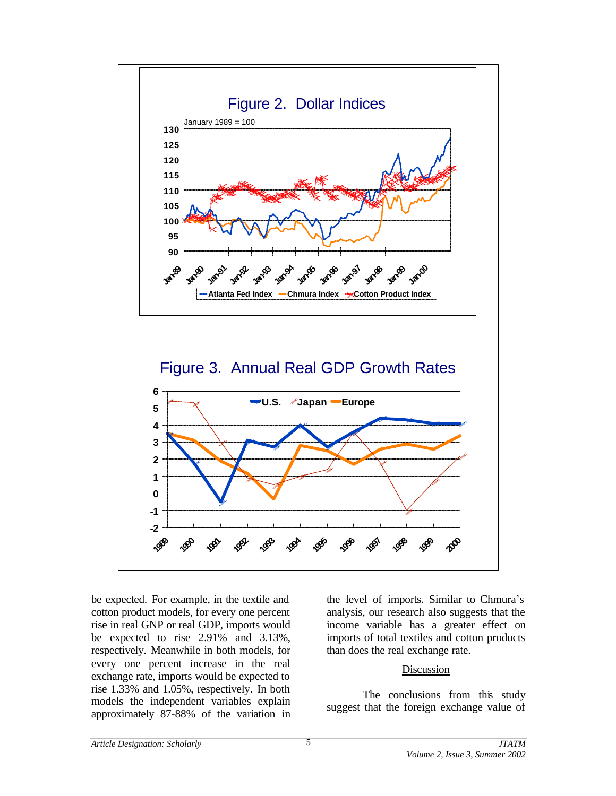

be expected. For example, in the textile and cotton product models, for every one percent rise in real GNP or real GDP, imports would be expected to rise 2.91% and 3.13%, respectively. Meanwhile in both models, for every one percent increase in the real exchange rate, imports would be expected to rise 1.33% and 1.05%, respectively. In both models the independent variables explain approximately 87-88% of the variation in

the level of imports. Similar to Chmura's analysis, our research also suggests that the income variable has a greater effect on imports of total textiles and cotton products than does the real exchange rate.

#### Discussion

The conclusions from this study suggest that the foreign exchange value of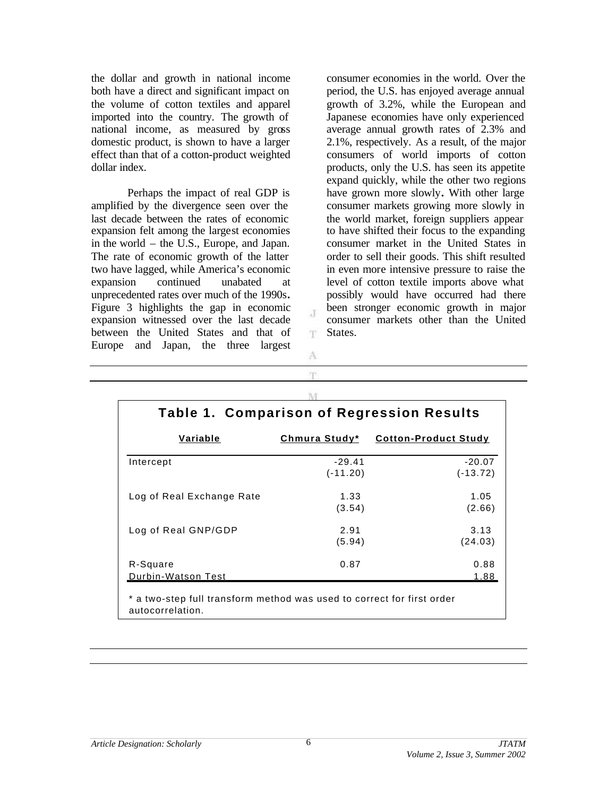the dollar and growth in national income both have a direct and significant impact on the volume of cotton textiles and apparel imported into the country. The growth of national income, as measured by gross domestic product, is shown to have a larger effect than that of a cotton-product weighted dollar index.

Perhaps the impact of real GDP is amplified by the divergence seen over the last decade between the rates of economic expansion felt among the largest economies in the world – the U.S., Europe, and Japan. The rate of economic growth of the latter two have lagged, while America's economic expansion continued unabated at unprecedented rates over much of the 1990s**.** Figure 3 highlights the gap in economic expansion witnessed over the last decade between the United States and that of Europe and Japan, the three largest

consumer economies in the world. Over the period, the U.S. has enjoyed average annual growth of 3.2%, while the European and Japanese economies have only experienced average annual growth rates of 2.3% and 2.1%, respectively. As a result, of the major consumers of world imports of cotton products, only the U.S. has seen its appetite expand quickly, while the other two regions have grown more slowly**.** With other large consumer markets growing more slowly in the world market, foreign suppliers appear to have shifted their focus to the expanding consumer market in the United States in order to sell their goods. This shift resulted in even more intensive pressure to raise the level of cotton textile imports above what possibly would have occurred had there been stronger economic growth in major consumer markets other than the United States.

| Variable                  | Chmura Study*          | <b>Cotton-Product Study</b> |
|---------------------------|------------------------|-----------------------------|
|                           |                        |                             |
| Intercept                 | $-29.41$<br>$(-11.20)$ | $-20.07$<br>$(-13.72)$      |
| Log of Real Exchange Rate | 1.33                   | 1.05                        |
|                           | (3.54)                 | (2.66)                      |
| Log of Real GNP/GDP       | 2.91                   | 3.13                        |
|                           | (5.94)                 | (24.03)                     |
| R-Square                  | 0.87                   | 0.88                        |
| Durbin-Watson Test        |                        | 1.88                        |

T.

A m

6